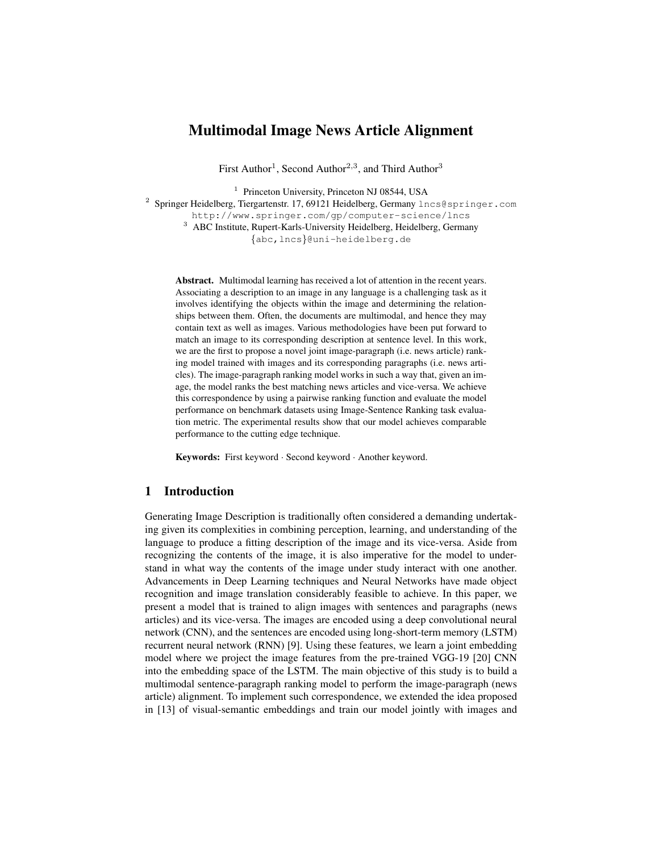# Multimodal Image News Article Alignment

First Author<sup>1</sup>, Second Author<sup>2,3</sup>, and Third Author<sup>3</sup>

<sup>1</sup> Princeton University, Princeton NJ 08544, USA

<sup>2</sup> Springer Heidelberg, Tiergartenstr. 17, 69121 Heidelberg, Germany lncs@springer.com

http://www.springer.com/gp/computer-science/lncs

<sup>3</sup> ABC Institute, Rupert-Karls-University Heidelberg, Heidelberg, Germany {abc,lncs}@uni-heidelberg.de

Abstract. Multimodal learning has received a lot of attention in the recent years. Associating a description to an image in any language is a challenging task as it involves identifying the objects within the image and determining the relationships between them. Often, the documents are multimodal, and hence they may contain text as well as images. Various methodologies have been put forward to match an image to its corresponding description at sentence level. In this work, we are the first to propose a novel joint image-paragraph (i.e. news article) ranking model trained with images and its corresponding paragraphs (i.e. news articles). The image-paragraph ranking model works in such a way that, given an image, the model ranks the best matching news articles and vice-versa. We achieve this correspondence by using a pairwise ranking function and evaluate the model performance on benchmark datasets using Image-Sentence Ranking task evaluation metric. The experimental results show that our model achieves comparable performance to the cutting edge technique.

Keywords: First keyword · Second keyword · Another keyword.

## 1 Introduction

Generating Image Description is traditionally often considered a demanding undertaking given its complexities in combining perception, learning, and understanding of the language to produce a fitting description of the image and its vice-versa. Aside from recognizing the contents of the image, it is also imperative for the model to understand in what way the contents of the image under study interact with one another. Advancements in Deep Learning techniques and Neural Networks have made object recognition and image translation considerably feasible to achieve. In this paper, we present a model that is trained to align images with sentences and paragraphs (news articles) and its vice-versa. The images are encoded using a deep convolutional neural network (CNN), and the sentences are encoded using long-short-term memory (LSTM) recurrent neural network (RNN) [9]. Using these features, we learn a joint embedding model where we project the image features from the pre-trained VGG-19 [20] CNN into the embedding space of the LSTM. The main objective of this study is to build a multimodal sentence-paragraph ranking model to perform the image-paragraph (news article) alignment. To implement such correspondence, we extended the idea proposed in [13] of visual-semantic embeddings and train our model jointly with images and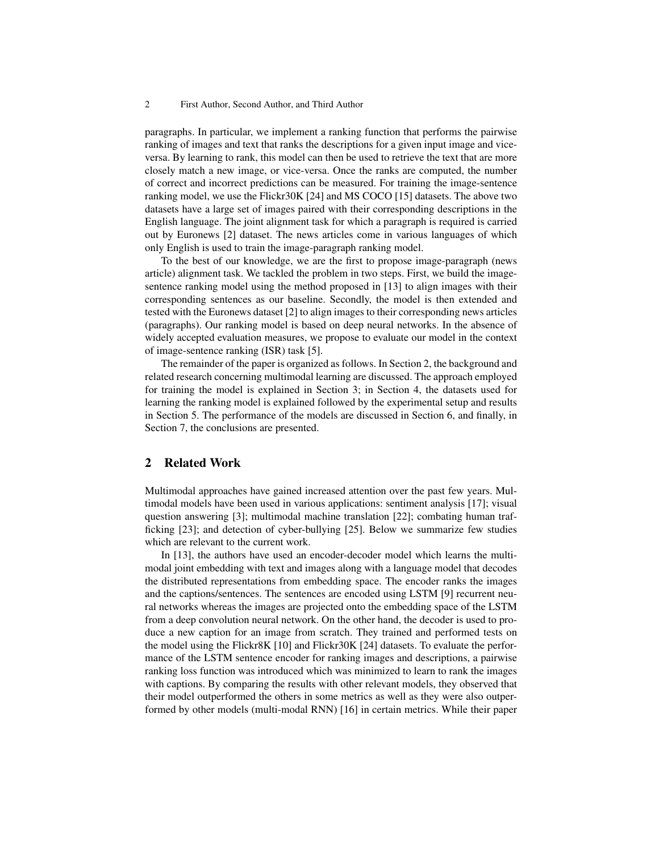#### 2 First Author, Second Author, and Third Author

paragraphs. In particular, we implement a ranking function that performs the pairwise ranking of images and text that ranks the descriptions for a given input image and viceversa. By learning to rank, this model can then be used to retrieve the text that are more closely match a new image, or vice-versa. Once the ranks are computed, the number of correct and incorrect predictions can be measured. For training the image-sentence ranking model, we use the Flickr30K [24] and MS COCO [15] datasets. The above two datasets have a large set of images paired with their corresponding descriptions in the English language. The joint alignment task for which a paragraph is required is carried out by Euronews [2] dataset. The news articles come in various languages of which only English is used to train the image-paragraph ranking model.

To the best of our knowledge, we are the first to propose image-paragraph (news article) alignment task. We tackled the problem in two steps. First, we build the imagesentence ranking model using the method proposed in [13] to align images with their corresponding sentences as our baseline. Secondly, the model is then extended and tested with the Euronews dataset [2] to align images to their corresponding news articles (paragraphs). Our ranking model is based on deep neural networks. In the absence of widely accepted evaluation measures, we propose to evaluate our model in the context of image-sentence ranking (ISR) task [5].

The remainder of the paper is organized as follows. In Section 2, the background and related research concerning multimodal learning are discussed. The approach employed for training the model is explained in Section 3; in Section 4, the datasets used for learning the ranking model is explained followed by the experimental setup and results in Section 5. The performance of the models are discussed in Section 6, and finally, in Section 7, the conclusions are presented.

### 2 Related Work

Multimodal approaches have gained increased attention over the past few years. Multimodal models have been used in various applications: sentiment analysis [17]; visual question answering [3]; multimodal machine translation [22]; combating human trafficking [23]; and detection of cyber-bullying [25]. Below we summarize few studies which are relevant to the current work.

In [13], the authors have used an encoder-decoder model which learns the multimodal joint embedding with text and images along with a language model that decodes the distributed representations from embedding space. The encoder ranks the images and the captions/sentences. The sentences are encoded using LSTM [9] recurrent neural networks whereas the images are projected onto the embedding space of the LSTM from a deep convolution neural network. On the other hand, the decoder is used to produce a new caption for an image from scratch. They trained and performed tests on the model using the Flickr8K [10] and Flickr30K [24] datasets. To evaluate the performance of the LSTM sentence encoder for ranking images and descriptions, a pairwise ranking loss function was introduced which was minimized to learn to rank the images with captions. By comparing the results with other relevant models, they observed that their model outperformed the others in some metrics as well as they were also outperformed by other models (multi-modal RNN) [16] in certain metrics. While their paper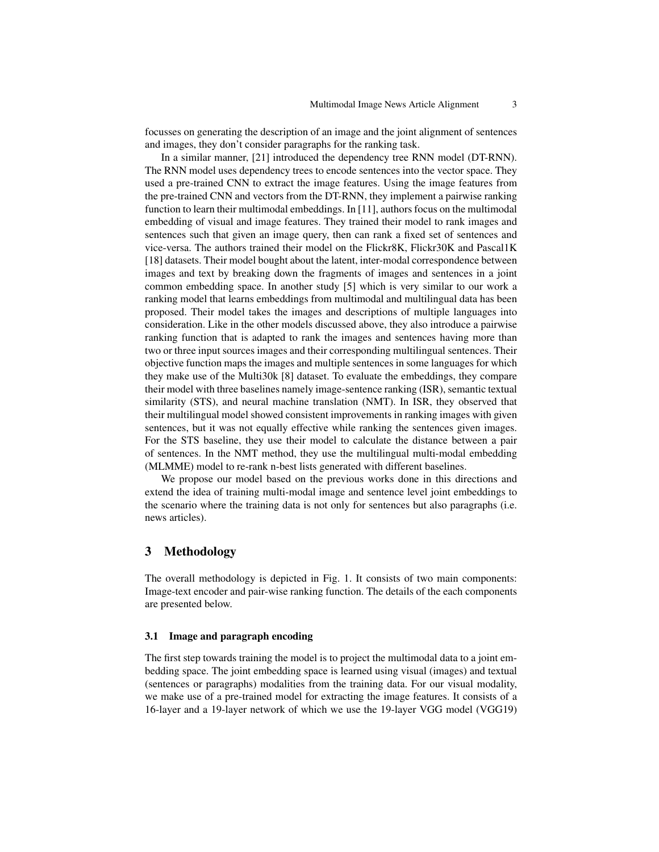focusses on generating the description of an image and the joint alignment of sentences and images, they don't consider paragraphs for the ranking task.

In a similar manner, [21] introduced the dependency tree RNN model (DT-RNN). The RNN model uses dependency trees to encode sentences into the vector space. They used a pre-trained CNN to extract the image features. Using the image features from the pre-trained CNN and vectors from the DT-RNN, they implement a pairwise ranking function to learn their multimodal embeddings. In [11], authors focus on the multimodal embedding of visual and image features. They trained their model to rank images and sentences such that given an image query, then can rank a fixed set of sentences and vice-versa. The authors trained their model on the Flickr8K, Flickr30K and Pascal1K [18] datasets. Their model bought about the latent, inter-modal correspondence between images and text by breaking down the fragments of images and sentences in a joint common embedding space. In another study [5] which is very similar to our work a ranking model that learns embeddings from multimodal and multilingual data has been proposed. Their model takes the images and descriptions of multiple languages into consideration. Like in the other models discussed above, they also introduce a pairwise ranking function that is adapted to rank the images and sentences having more than two or three input sources images and their corresponding multilingual sentences. Their objective function maps the images and multiple sentences in some languages for which they make use of the Multi30k [8] dataset. To evaluate the embeddings, they compare their model with three baselines namely image-sentence ranking (ISR), semantic textual similarity (STS), and neural machine translation (NMT). In ISR, they observed that their multilingual model showed consistent improvements in ranking images with given sentences, but it was not equally effective while ranking the sentences given images. For the STS baseline, they use their model to calculate the distance between a pair of sentences. In the NMT method, they use the multilingual multi-modal embedding (MLMME) model to re-rank n-best lists generated with different baselines.

We propose our model based on the previous works done in this directions and extend the idea of training multi-modal image and sentence level joint embeddings to the scenario where the training data is not only for sentences but also paragraphs (i.e. news articles).

## 3 Methodology

The overall methodology is depicted in Fig. 1. It consists of two main components: Image-text encoder and pair-wise ranking function. The details of the each components are presented below.

#### 3.1 Image and paragraph encoding

The first step towards training the model is to project the multimodal data to a joint embedding space. The joint embedding space is learned using visual (images) and textual (sentences or paragraphs) modalities from the training data. For our visual modality, we make use of a pre-trained model for extracting the image features. It consists of a 16-layer and a 19-layer network of which we use the 19-layer VGG model (VGG19)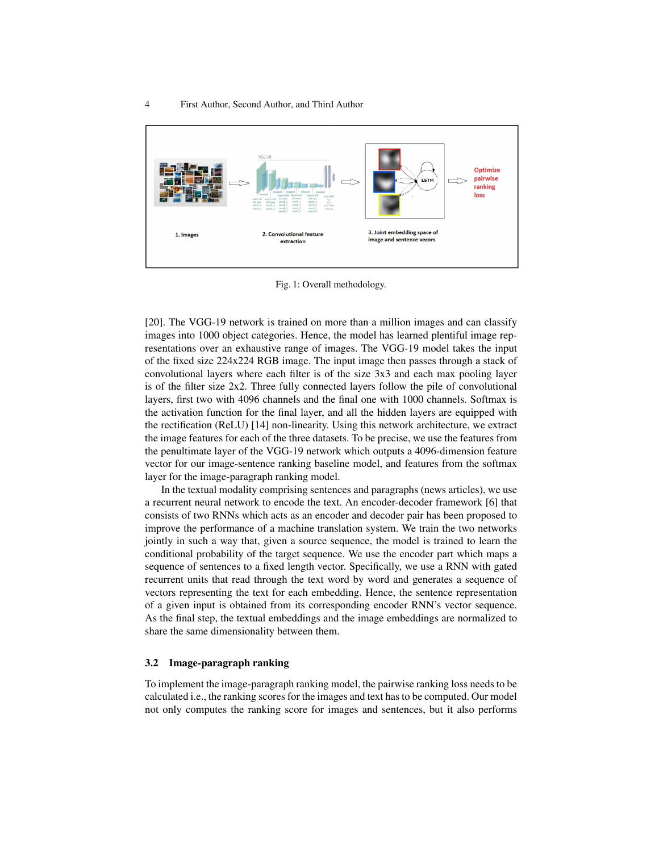

Fig. 1: Overall methodology.

[20]. The VGG-19 network is trained on more than a million images and can classify images into 1000 object categories. Hence, the model has learned plentiful image representations over an exhaustive range of images. The VGG-19 model takes the input of the fixed size 224x224 RGB image. The input image then passes through a stack of convolutional layers where each filter is of the size 3x3 and each max pooling layer is of the filter size  $2x2$ . Three fully connected layers follow the pile of convolutional layers, first two with 4096 channels and the final one with 1000 channels. Softmax is the activation function for the final layer, and all the hidden layers are equipped with the rectification (ReLU) [14] non-linearity. Using this network architecture, we extract the image features for each of the three datasets. To be precise, we use the features from the penultimate layer of the VGG-19 network which outputs a 4096-dimension feature vector for our image-sentence ranking baseline model, and features from the softmax layer for the image-paragraph ranking model.

In the textual modality comprising sentences and paragraphs (news articles), we use a recurrent neural network to encode the text. An encoder-decoder framework [6] that consists of two RNNs which acts as an encoder and decoder pair has been proposed to improve the performance of a machine translation system. We train the two networks jointly in such a way that, given a source sequence, the model is trained to learn the conditional probability of the target sequence. We use the encoder part which maps a sequence of sentences to a fixed length vector. Specifically, we use a RNN with gated recurrent units that read through the text word by word and generates a sequence of vectors representing the text for each embedding. Hence, the sentence representation of a given input is obtained from its corresponding encoder RNN's vector sequence. As the final step, the textual embeddings and the image embeddings are normalized to share the same dimensionality between them.

### 3.2 Image-paragraph ranking

To implement the image-paragraph ranking model, the pairwise ranking loss needs to be calculated i.e., the ranking scores for the images and text has to be computed. Our model not only computes the ranking score for images and sentences, but it also performs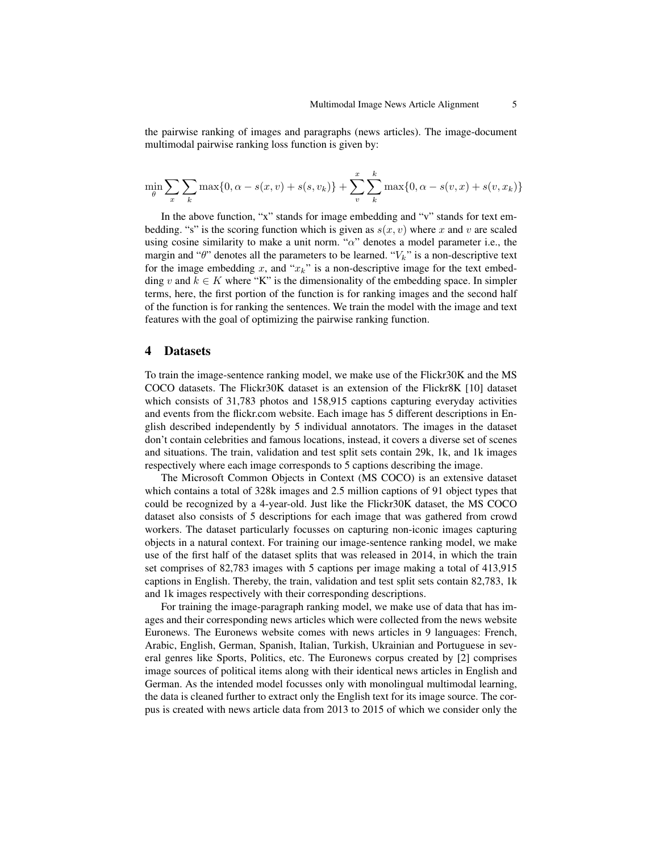the pairwise ranking of images and paragraphs (news articles). The image-document multimodal pairwise ranking loss function is given by:

$$
\min_{\theta} \sum_{x} \sum_{k} \max\{0, \alpha - s(x, v) + s(s, v_k)\} + \sum_{v}^{x} \sum_{k}^{k} \max\{0, \alpha - s(v, x) + s(v, x_k)\}
$$

In the above function, "x" stands for image embedding and "v" stands for text embedding. "s" is the scoring function which is given as  $s(x, v)$  where x and v are scaled using cosine similarity to make a unit norm. " $\alpha$ " denotes a model parameter i.e., the margin and " $\theta$ " denotes all the parameters to be learned. " $V_k$ " is a non-descriptive text for the image embedding x, and " $x_k$ " is a non-descriptive image for the text embedding v and  $k \in K$  where "K" is the dimensionality of the embedding space. In simpler terms, here, the first portion of the function is for ranking images and the second half of the function is for ranking the sentences. We train the model with the image and text features with the goal of optimizing the pairwise ranking function.

### 4 Datasets

To train the image-sentence ranking model, we make use of the Flickr30K and the MS COCO datasets. The Flickr30K dataset is an extension of the Flickr8K [10] dataset which consists of 31,783 photos and 158,915 captions capturing everyday activities and events from the flickr.com website. Each image has 5 different descriptions in English described independently by 5 individual annotators. The images in the dataset don't contain celebrities and famous locations, instead, it covers a diverse set of scenes and situations. The train, validation and test split sets contain 29k, 1k, and 1k images respectively where each image corresponds to 5 captions describing the image.

The Microsoft Common Objects in Context (MS COCO) is an extensive dataset which contains a total of 328k images and 2.5 million captions of 91 object types that could be recognized by a 4-year-old. Just like the Flickr30K dataset, the MS COCO dataset also consists of 5 descriptions for each image that was gathered from crowd workers. The dataset particularly focusses on capturing non-iconic images capturing objects in a natural context. For training our image-sentence ranking model, we make use of the first half of the dataset splits that was released in 2014, in which the train set comprises of 82,783 images with 5 captions per image making a total of 413,915 captions in English. Thereby, the train, validation and test split sets contain 82,783, 1k and 1k images respectively with their corresponding descriptions.

For training the image-paragraph ranking model, we make use of data that has images and their corresponding news articles which were collected from the news website Euronews. The Euronews website comes with news articles in 9 languages: French, Arabic, English, German, Spanish, Italian, Turkish, Ukrainian and Portuguese in several genres like Sports, Politics, etc. The Euronews corpus created by [2] comprises image sources of political items along with their identical news articles in English and German. As the intended model focusses only with monolingual multimodal learning, the data is cleaned further to extract only the English text for its image source. The corpus is created with news article data from 2013 to 2015 of which we consider only the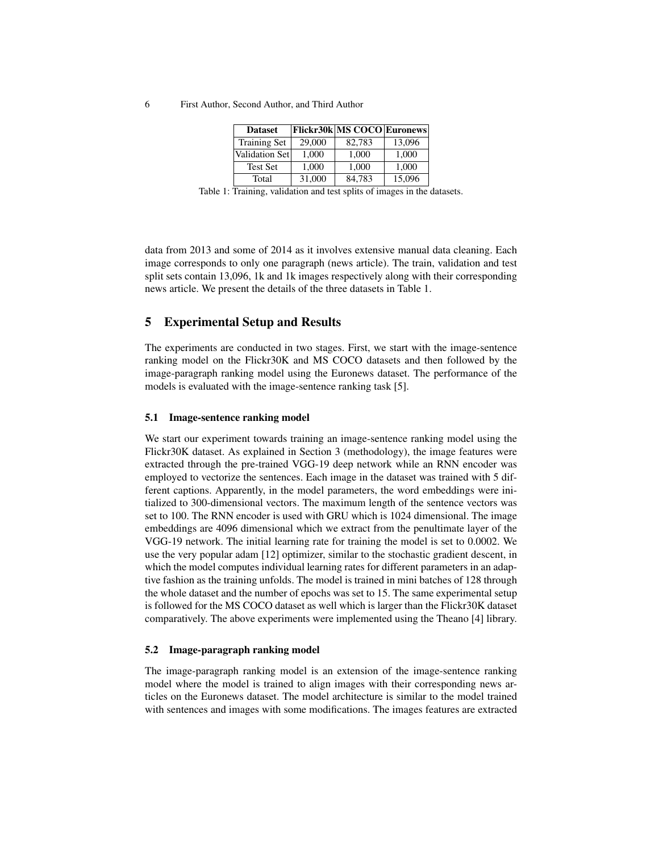6 First Author, Second Author, and Third Author

| <b>Dataset</b>      |        | Flickr30k MS COCO Euronews |        |
|---------------------|--------|----------------------------|--------|
| <b>Training Set</b> | 29,000 | 82.783                     | 13,096 |
| Validation Set      | 1.000  | 1,000                      | 1,000  |
| Test Set            | 1.000  | 1.000                      | 1,000  |
| Total               | 31,000 | 84.783                     | 15,096 |

Table 1: Training, validation and test splits of images in the datasets.

data from 2013 and some of 2014 as it involves extensive manual data cleaning. Each image corresponds to only one paragraph (news article). The train, validation and test split sets contain 13,096, 1k and 1k images respectively along with their corresponding news article. We present the details of the three datasets in Table 1.

## 5 Experimental Setup and Results

The experiments are conducted in two stages. First, we start with the image-sentence ranking model on the Flickr30K and MS COCO datasets and then followed by the image-paragraph ranking model using the Euronews dataset. The performance of the models is evaluated with the image-sentence ranking task [5].

#### 5.1 Image-sentence ranking model

We start our experiment towards training an image-sentence ranking model using the Flickr30K dataset. As explained in Section 3 (methodology), the image features were extracted through the pre-trained VGG-19 deep network while an RNN encoder was employed to vectorize the sentences. Each image in the dataset was trained with 5 different captions. Apparently, in the model parameters, the word embeddings were initialized to 300-dimensional vectors. The maximum length of the sentence vectors was set to 100. The RNN encoder is used with GRU which is 1024 dimensional. The image embeddings are 4096 dimensional which we extract from the penultimate layer of the VGG-19 network. The initial learning rate for training the model is set to 0.0002. We use the very popular adam [12] optimizer, similar to the stochastic gradient descent, in which the model computes individual learning rates for different parameters in an adaptive fashion as the training unfolds. The model is trained in mini batches of 128 through the whole dataset and the number of epochs was set to 15. The same experimental setup is followed for the MS COCO dataset as well which is larger than the Flickr30K dataset comparatively. The above experiments were implemented using the Theano [4] library.

#### 5.2 Image-paragraph ranking model

The image-paragraph ranking model is an extension of the image-sentence ranking model where the model is trained to align images with their corresponding news articles on the Euronews dataset. The model architecture is similar to the model trained with sentences and images with some modifications. The images features are extracted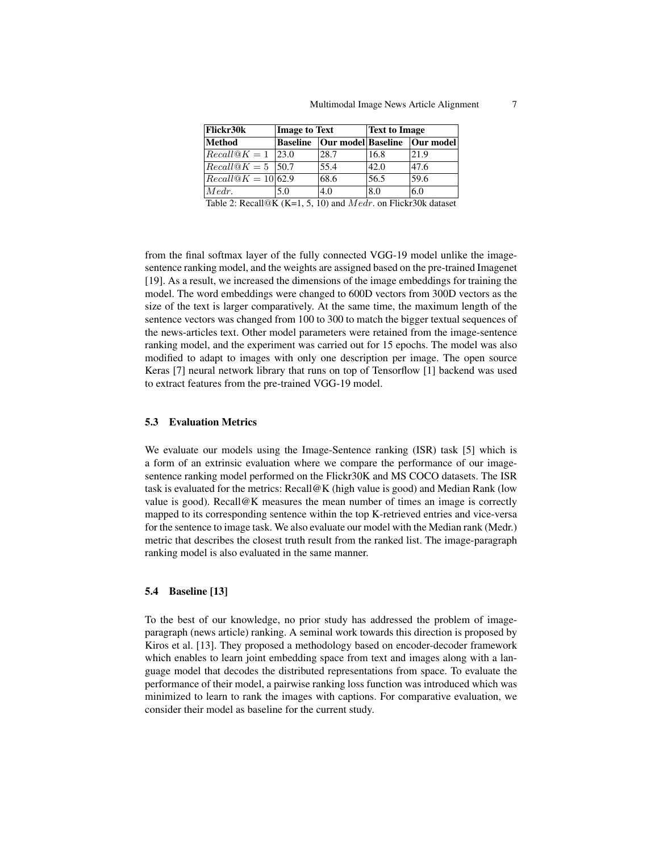| Flickr30k                     | <b>Image to Text</b>                |                               | <b>Text to Image</b> |                                   |
|-------------------------------|-------------------------------------|-------------------------------|----------------------|-----------------------------------|
| Method                        | <b>Baseline</b>                     | Our model Baseline  Our model |                      |                                   |
| $ Recall@K = 1$               | 123.0                               | 28.7                          | 16.8                 | 21.9                              |
| $Recall@K = 5$ 50.7           |                                     | 55.4                          | 42.0                 | 47.6                              |
| $Recall@K = 10 62.9$          |                                     | 68.6                          | 56.5                 | 59.6                              |
| Medr.                         | 5.0                                 | 4.0                           | 8.0                  | 6.0                               |
| <i>m</i> 1 1<br>$\sim$ $\sim$ | 11 $\otimes$ TZ $\vee$ TZ<br>1.7.10 |                               | .                    | $\bigcap \bigcap$<br>$\mathbf{1}$ |

Table 2: Recall@K (K=1, 5, 10) and  $Medr$ . on Flickr30k dataset

from the final softmax layer of the fully connected VGG-19 model unlike the imagesentence ranking model, and the weights are assigned based on the pre-trained Imagenet [19]. As a result, we increased the dimensions of the image embeddings for training the model. The word embeddings were changed to 600D vectors from 300D vectors as the size of the text is larger comparatively. At the same time, the maximum length of the sentence vectors was changed from 100 to 300 to match the bigger textual sequences of the news-articles text. Other model parameters were retained from the image-sentence ranking model, and the experiment was carried out for 15 epochs. The model was also modified to adapt to images with only one description per image. The open source Keras [7] neural network library that runs on top of Tensorflow [1] backend was used to extract features from the pre-trained VGG-19 model.

#### 5.3 Evaluation Metrics

We evaluate our models using the Image-Sentence ranking (ISR) task [5] which is a form of an extrinsic evaluation where we compare the performance of our imagesentence ranking model performed on the Flickr30K and MS COCO datasets. The ISR task is evaluated for the metrics: Recall@K (high value is good) and Median Rank (low value is good). Recall@K measures the mean number of times an image is correctly mapped to its corresponding sentence within the top K-retrieved entries and vice-versa for the sentence to image task. We also evaluate our model with the Median rank (Medr.) metric that describes the closest truth result from the ranked list. The image-paragraph ranking model is also evaluated in the same manner.

### 5.4 Baseline [13]

To the best of our knowledge, no prior study has addressed the problem of imageparagraph (news article) ranking. A seminal work towards this direction is proposed by Kiros et al. [13]. They proposed a methodology based on encoder-decoder framework which enables to learn joint embedding space from text and images along with a language model that decodes the distributed representations from space. To evaluate the performance of their model, a pairwise ranking loss function was introduced which was minimized to learn to rank the images with captions. For comparative evaluation, we consider their model as baseline for the current study.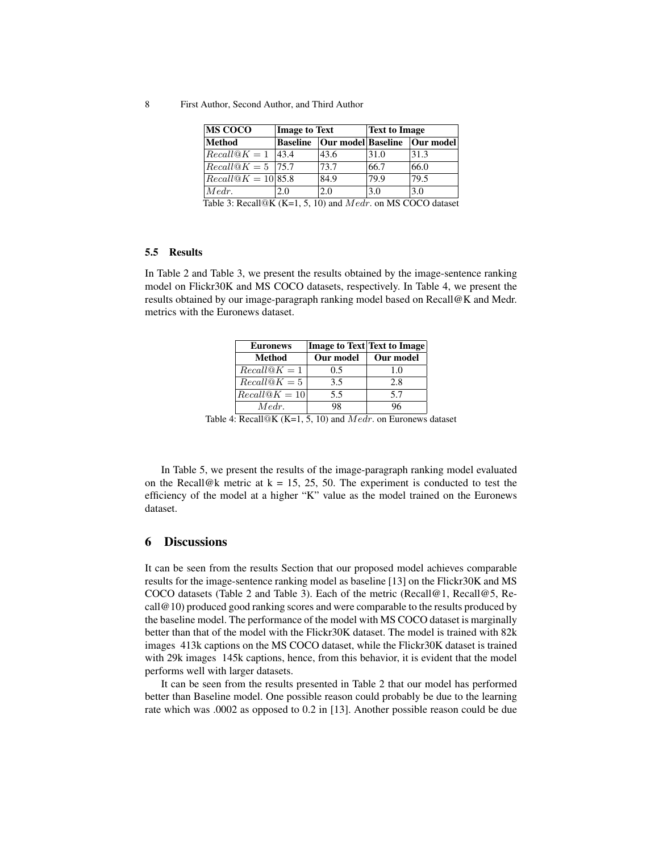8 First Author, Second Author, and Third Author

| <b>MS COCO</b>                                                 | <b>Image to Text</b> |                               | <b>Text to Image</b> |      |
|----------------------------------------------------------------|----------------------|-------------------------------|----------------------|------|
| Method                                                         | <b>Baseline</b>      | Our model Baseline  Our model |                      |      |
| $Recall@K = 1$ 43.4                                            |                      | 43.6                          | 31.0                 | 31.3 |
| $Recall@K = 5$  75.7                                           |                      | 73.7                          | 66.7                 | 66.0 |
| $Recall@K = 10 85.8$                                           |                      | 84.9                          | 79.9                 | 79.5 |
| $Medr$ .                                                       | 2.0                  | 2.0                           | 3.0                  | 3.0  |
| Table 3: Recall@K (K=1, 5, 10) and $Medr$ . on MS COCO dataset |                      |                               |                      |      |

#### 5.5 Results

In Table 2 and Table 3, we present the results obtained by the image-sentence ranking model on Flickr30K and MS COCO datasets, respectively. In Table 4, we present the results obtained by our image-paragraph ranking model based on Recall@K and Medr. metrics with the Euronews dataset.

| <b>Euronews</b> |           | <b>Image to Text Text to Image</b> |
|-----------------|-----------|------------------------------------|
| Method          | Our model | Our model                          |
| $Recall@K = 1$  | 0.5       | 1.0                                |
| $Recall@K = 5$  | 3.5       | 2.8                                |
| $Recall@K = 10$ | 5.5       | 5.7                                |
| Medr.           | 98        | 96                                 |

Table 4: Recall@K (K=1, 5, 10) and *Medr*. on Euronews dataset

In Table 5, we present the results of the image-paragraph ranking model evaluated on the Recall@k metric at  $k = 15, 25, 50$ . The experiment is conducted to test the efficiency of the model at a higher "K" value as the model trained on the Euronews dataset.

## 6 Discussions

It can be seen from the results Section that our proposed model achieves comparable results for the image-sentence ranking model as baseline [13] on the Flickr30K and MS COCO datasets (Table 2 and Table 3). Each of the metric (Recall@1, Recall@5, Recall@10) produced good ranking scores and were comparable to the results produced by the baseline model. The performance of the model with MS COCO dataset is marginally better than that of the model with the Flickr30K dataset. The model is trained with 82k images 413k captions on the MS COCO dataset, while the Flickr30K dataset is trained with 29k images 145k captions, hence, from this behavior, it is evident that the model performs well with larger datasets.

It can be seen from the results presented in Table 2 that our model has performed better than Baseline model. One possible reason could probably be due to the learning rate which was .0002 as opposed to 0.2 in [13]. Another possible reason could be due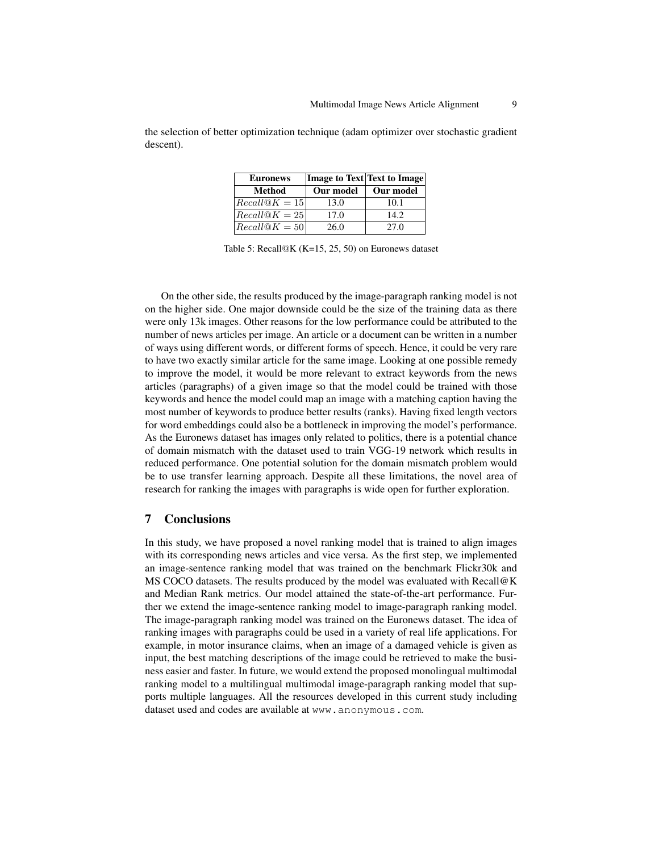| <b>Euronews</b> |           | <b>Image to Text Text to Image</b> |
|-----------------|-----------|------------------------------------|
| Method          | Our model | Our model                          |
| $Recall@K = 15$ | 13.0      | 10.1                               |
| $Recall@K = 25$ | 17.0      | 14.2.                              |
| $Recall@K = 50$ | 26.0      | 27.0                               |

the selection of better optimization technique (adam optimizer over stochastic gradient descent).

Table 5: Recall@K (K=15, 25, 50) on Euronews dataset

On the other side, the results produced by the image-paragraph ranking model is not on the higher side. One major downside could be the size of the training data as there were only 13k images. Other reasons for the low performance could be attributed to the number of news articles per image. An article or a document can be written in a number of ways using different words, or different forms of speech. Hence, it could be very rare to have two exactly similar article for the same image. Looking at one possible remedy to improve the model, it would be more relevant to extract keywords from the news articles (paragraphs) of a given image so that the model could be trained with those keywords and hence the model could map an image with a matching caption having the most number of keywords to produce better results (ranks). Having fixed length vectors for word embeddings could also be a bottleneck in improving the model's performance. As the Euronews dataset has images only related to politics, there is a potential chance of domain mismatch with the dataset used to train VGG-19 network which results in reduced performance. One potential solution for the domain mismatch problem would be to use transfer learning approach. Despite all these limitations, the novel area of research for ranking the images with paragraphs is wide open for further exploration.

### 7 Conclusions

In this study, we have proposed a novel ranking model that is trained to align images with its corresponding news articles and vice versa. As the first step, we implemented an image-sentence ranking model that was trained on the benchmark Flickr30k and MS COCO datasets. The results produced by the model was evaluated with Recall@K and Median Rank metrics. Our model attained the state-of-the-art performance. Further we extend the image-sentence ranking model to image-paragraph ranking model. The image-paragraph ranking model was trained on the Euronews dataset. The idea of ranking images with paragraphs could be used in a variety of real life applications. For example, in motor insurance claims, when an image of a damaged vehicle is given as input, the best matching descriptions of the image could be retrieved to make the business easier and faster. In future, we would extend the proposed monolingual multimodal ranking model to a multilingual multimodal image-paragraph ranking model that supports multiple languages. All the resources developed in this current study including dataset used and codes are available at www.anonymous.com.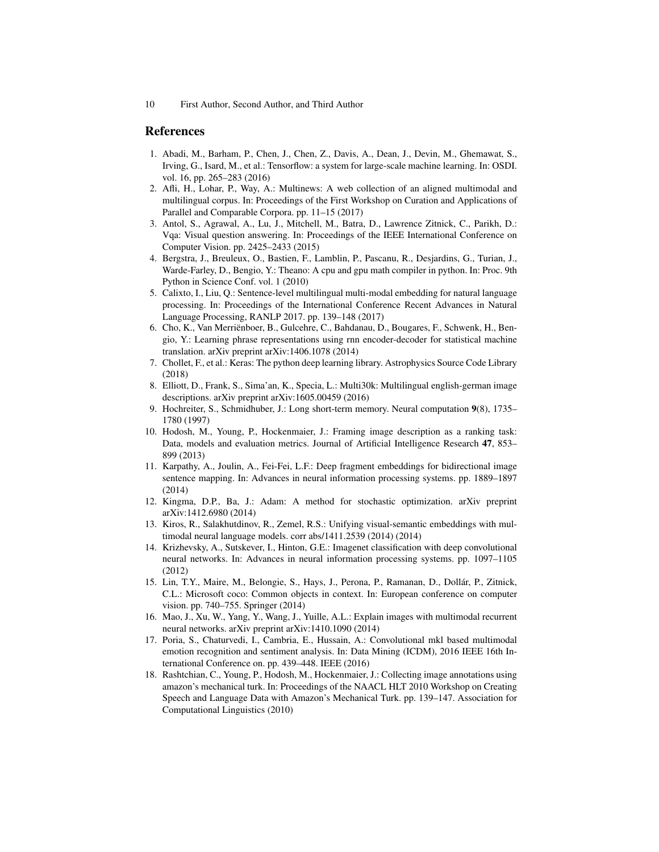## References

- 1. Abadi, M., Barham, P., Chen, J., Chen, Z., Davis, A., Dean, J., Devin, M., Ghemawat, S., Irving, G., Isard, M., et al.: Tensorflow: a system for large-scale machine learning. In: OSDI. vol. 16, pp. 265–283 (2016)
- 2. Afli, H., Lohar, P., Way, A.: Multinews: A web collection of an aligned multimodal and multilingual corpus. In: Proceedings of the First Workshop on Curation and Applications of Parallel and Comparable Corpora. pp. 11–15 (2017)
- 3. Antol, S., Agrawal, A., Lu, J., Mitchell, M., Batra, D., Lawrence Zitnick, C., Parikh, D.: Vqa: Visual question answering. In: Proceedings of the IEEE International Conference on Computer Vision. pp. 2425–2433 (2015)
- 4. Bergstra, J., Breuleux, O., Bastien, F., Lamblin, P., Pascanu, R., Desjardins, G., Turian, J., Warde-Farley, D., Bengio, Y.: Theano: A cpu and gpu math compiler in python. In: Proc. 9th Python in Science Conf. vol. 1 (2010)
- 5. Calixto, I., Liu, Q.: Sentence-level multilingual multi-modal embedding for natural language processing. In: Proceedings of the International Conference Recent Advances in Natural Language Processing, RANLP 2017. pp. 139–148 (2017)
- 6. Cho, K., Van Merrienboer, B., Gulcehre, C., Bahdanau, D., Bougares, F., Schwenk, H., Ben- ¨ gio, Y.: Learning phrase representations using rnn encoder-decoder for statistical machine translation. arXiv preprint arXiv:1406.1078 (2014)
- 7. Chollet, F., et al.: Keras: The python deep learning library. Astrophysics Source Code Library (2018)
- 8. Elliott, D., Frank, S., Sima'an, K., Specia, L.: Multi30k: Multilingual english-german image descriptions. arXiv preprint arXiv:1605.00459 (2016)
- 9. Hochreiter, S., Schmidhuber, J.: Long short-term memory. Neural computation 9(8), 1735– 1780 (1997)
- 10. Hodosh, M., Young, P., Hockenmaier, J.: Framing image description as a ranking task: Data, models and evaluation metrics. Journal of Artificial Intelligence Research 47, 853– 899 (2013)
- 11. Karpathy, A., Joulin, A., Fei-Fei, L.F.: Deep fragment embeddings for bidirectional image sentence mapping. In: Advances in neural information processing systems. pp. 1889–1897 (2014)
- 12. Kingma, D.P., Ba, J.: Adam: A method for stochastic optimization. arXiv preprint arXiv:1412.6980 (2014)
- 13. Kiros, R., Salakhutdinov, R., Zemel, R.S.: Unifying visual-semantic embeddings with multimodal neural language models. corr abs/1411.2539 (2014) (2014)
- 14. Krizhevsky, A., Sutskever, I., Hinton, G.E.: Imagenet classification with deep convolutional neural networks. In: Advances in neural information processing systems. pp. 1097–1105 (2012)
- 15. Lin, T.Y., Maire, M., Belongie, S., Hays, J., Perona, P., Ramanan, D., Dollar, P., Zitnick, ´ C.L.: Microsoft coco: Common objects in context. In: European conference on computer vision. pp. 740–755. Springer (2014)
- 16. Mao, J., Xu, W., Yang, Y., Wang, J., Yuille, A.L.: Explain images with multimodal recurrent neural networks. arXiv preprint arXiv:1410.1090 (2014)
- 17. Poria, S., Chaturvedi, I., Cambria, E., Hussain, A.: Convolutional mkl based multimodal emotion recognition and sentiment analysis. In: Data Mining (ICDM), 2016 IEEE 16th International Conference on. pp. 439–448. IEEE (2016)
- 18. Rashtchian, C., Young, P., Hodosh, M., Hockenmaier, J.: Collecting image annotations using amazon's mechanical turk. In: Proceedings of the NAACL HLT 2010 Workshop on Creating Speech and Language Data with Amazon's Mechanical Turk. pp. 139–147. Association for Computational Linguistics (2010)